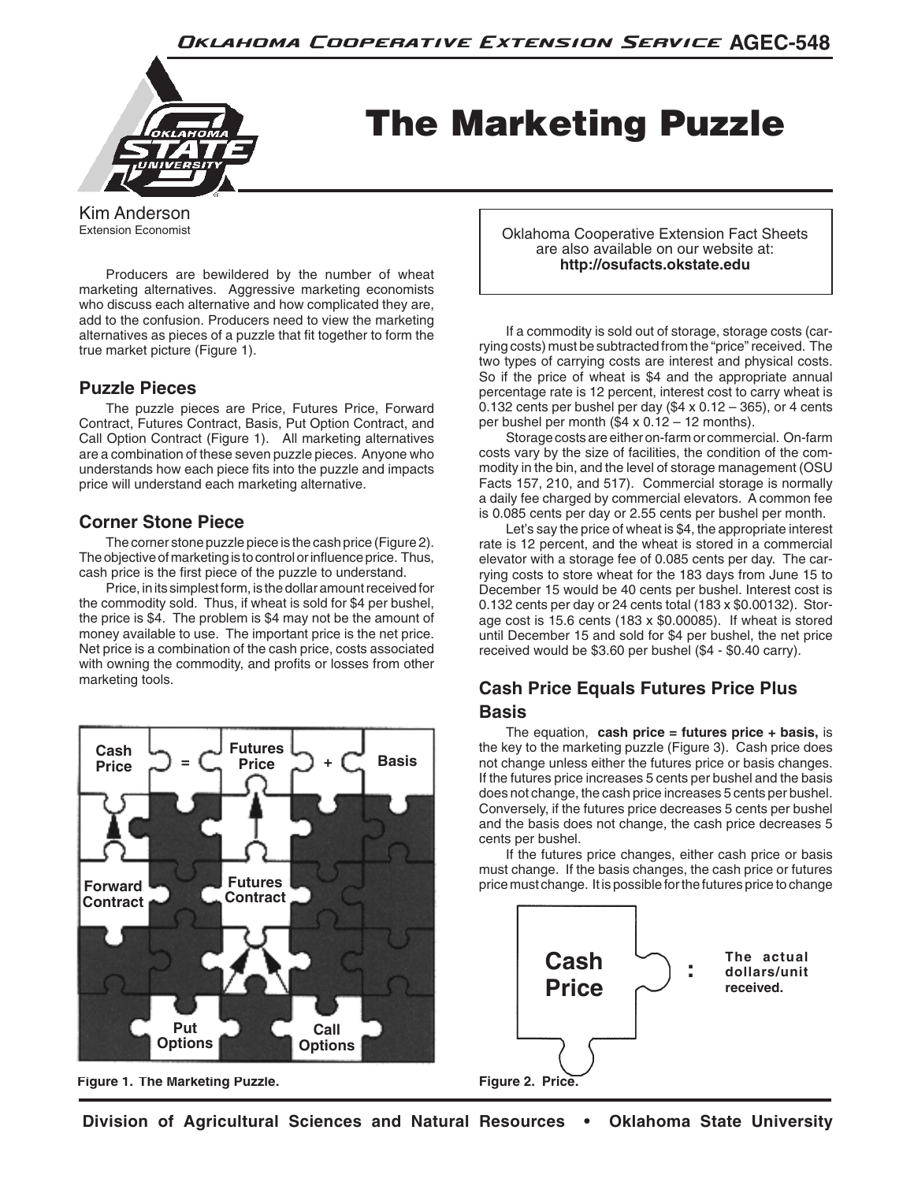

The Marketing Puzzle

Kim Anderson Extension Economist

 Producers are bewildered by the number of wheat marketing alternatives. Aggressive marketing economists who discuss each alternative and how complicated they are, add to the confusion. Producers need to view the marketing alternatives as pieces of a puzzle that fit together to form the true market picture (Figure 1).

# **Puzzle Pieces**

 The puzzle pieces are Price, Futures Price, Forward Contract, Futures Contract, Basis, Put Option Contract, and Call Option Contract (Figure 1). All marketing alternatives are a combination of these seven puzzle pieces. Anyone who understands how each piece fits into the puzzle and impacts price will understand each marketing alternative.

# **Corner Stone Piece**

 The corner stone puzzle piece is the cash price (Figure 2). The objective of marketing is to control or influence price. Thus, cash price is the first piece of the puzzle to understand.

Price, in its simplest form, is the dollar amount received for the commodity sold. Thus, if wheat is sold for \$4 per bushel, the price is \$4. The problem is \$4 may not be the amount of money available to use. The important price is the net price. Net price is a combination of the cash price, costs associated with owning the commodity, and profits or losses from other marketing tools.



**Figure 1. The Marketing Puzzle.**

Oklahoma Cooperative Extension Fact Sheets are also available on our website at: **http://osufacts.okstate.edu**

 If a commodity is sold out of storage, storage costs (carrying costs) must be subtracted from the "price" received. The two types of carrying costs are interest and physical costs. So if the price of wheat is \$4 and the appropriate annual percentage rate is 12 percent, interest cost to carry wheat is 0.132 cents per bushel per day  $(\$4 \times 0.12 - 365)$ , or 4 cents per bushel per month (\$4 x 0.12 – 12 months).

 Storage costs are either on-farm or commercial. On-farm costs vary by the size of facilities, the condition of the commodity in the bin, and the level of storage management (OSU Facts 157, 210, and 517). Commercial storage is normally a daily fee charged by commercial elevators. A common fee is 0.085 cents per day or 2.55 cents per bushel per month.

 Let's say the price of wheat is \$4, the appropriate interest rate is 12 percent, and the wheat is stored in a commercial elevator with a storage fee of 0.085 cents per day. The carrying costs to store wheat for the 183 days from June 15 to December 15 would be 40 cents per bushel. Interest cost is 0.132 cents per day or 24 cents total (183 x \$0.00132). Storage cost is 15.6 cents (183 x \$0.00085). If wheat is stored until December 15 and sold for \$4 per bushel, the net price received would be \$3.60 per bushel (\$4 - \$0.40 carry).

# **Cash Price Equals Futures Price Plus Basis**

 The equation, **cash price = futures price + basis,** is the key to the marketing puzzle (Figure 3). Cash price does not change unless either the futures price or basis changes. If the futures price increases 5 cents per bushel and the basis does not change, the cash price increases 5 cents per bushel. Conversely, if the futures price decreases 5 cents per bushel and the basis does not change, the cash price decreases 5 cents per bushel.

 If the futures price changes, either cash price or basis must change. If the basis changes, the cash price or futures price must change. It is possible for the futures price to change

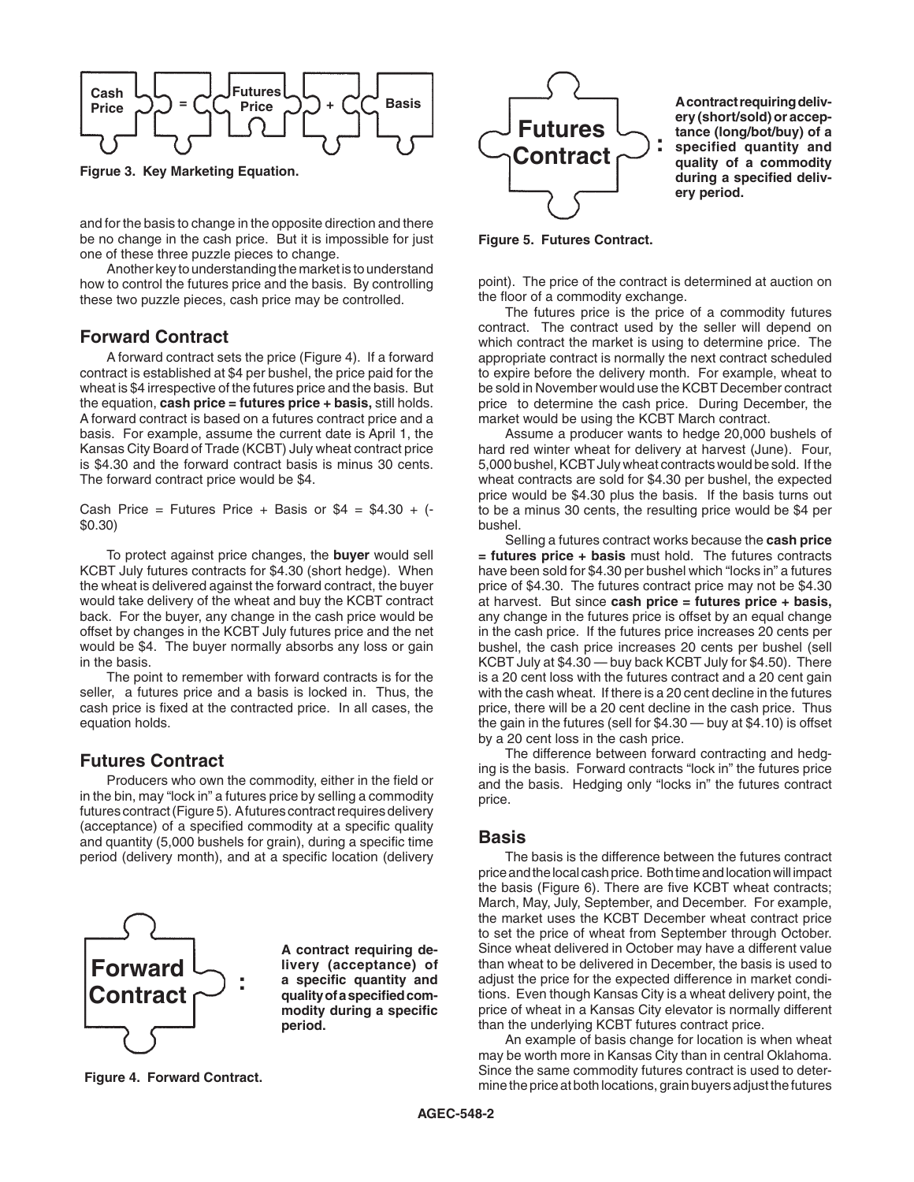

**Figrue 3. Key Marketing Equation.**

and for the basis to change in the opposite direction and there be no change in the cash price. But it is impossible for just one of these three puzzle pieces to change.

Another key to understanding the market is to understand how to control the futures price and the basis. By controlling these two puzzle pieces, cash price may be controlled.

#### **Forward Contract**

 A forward contract sets the price (Figure 4). If a forward contract is established at \$4 per bushel, the price paid for the wheat is \$4 irrespective of the futures price and the basis. But the equation, **cash price = futures price + basis,** still holds. A forward contract is based on a futures contract price and a basis. For example, assume the current date is April 1, the Kansas City Board of Trade (KCBT) July wheat contract price is \$4.30 and the forward contract basis is minus 30 cents. The forward contract price would be \$4.

Cash Price = Futures Price + Basis or  $$4 = $4.30 + (-1.53)$ \$0.30)

 To protect against price changes, the **buyer** would sell KCBT July futures contracts for \$4.30 (short hedge). When the wheat is delivered against the forward contract, the buyer would take delivery of the wheat and buy the KCBT contract back. For the buyer, any change in the cash price would be offset by changes in the KCBT July futures price and the net would be \$4. The buyer normally absorbs any loss or gain in the basis.

 The point to remember with forward contracts is for the seller, a futures price and a basis is locked in. Thus, the cash price is fixed at the contracted price. In all cases, the equation holds.

#### **Futures Contract**

 Producers who own the commodity, either in the field or in the bin, may "lock in" a futures price by selling a commodity futures contract (Figure 5). A futures contract requires delivery (acceptance) of a specified commodity at a specific quality and quantity (5,000 bushels for grain), during a specific time period (delivery month), and at a specific location (delivery



**A contract requiring delivery (acceptance) of a specific quantity and quality of a specified commodity during a specific period.**

**Figure 4. Forward Contract.**



**A contract requiring delivery (short/sold) or acceptance (long/bot/buy) of a specified quantity and quality of a commodity during a specified delivery period.**

**Figure 5. Futures Contract.**

point). The price of the contract is determined at auction on the floor of a commodity exchange.

 The futures price is the price of a commodity futures contract. The contract used by the seller will depend on which contract the market is using to determine price. The appropriate contract is normally the next contract scheduled to expire before the delivery month. For example, wheat to be sold in November would use the KCBT December contract price to determine the cash price. During December, the market would be using the KCBT March contract.

 Assume a producer wants to hedge 20,000 bushels of hard red winter wheat for delivery at harvest (June). Four, 5,000 bushel, KCBT July wheat contracts would be sold. If the wheat contracts are sold for \$4.30 per bushel, the expected price would be \$4.30 plus the basis. If the basis turns out to be a minus 30 cents, the resulting price would be \$4 per bushel.

 Selling a futures contract works because the **cash price = futures price + basis** must hold. The futures contracts have been sold for \$4.30 per bushel which "locks in" a futures price of \$4.30. The futures contract price may not be \$4.30 at harvest. But since **cash price = futures price + basis,** any change in the futures price is offset by an equal change in the cash price. If the futures price increases 20 cents per bushel, the cash price increases 20 cents per bushel (sell KCBT July at \$4.30 — buy back KCBT July for \$4.50). There is a 20 cent loss with the futures contract and a 20 cent gain with the cash wheat. If there is a 20 cent decline in the futures price, there will be a 20 cent decline in the cash price. Thus the gain in the futures (sell for \$4.30 — buy at \$4.10) is offset by a 20 cent loss in the cash price.

 The difference between forward contracting and hedging is the basis. Forward contracts "lock in" the futures price and the basis. Hedging only "locks in" the futures contract price.

#### **Basis**

 The basis is the difference between the futures contract price and the local cash price. Both time and location will impact the basis (Figure 6). There are five KCBT wheat contracts; March, May, July, September, and December. For example, the market uses the KCBT December wheat contract price to set the price of wheat from September through October. Since wheat delivered in October may have a different value than wheat to be delivered in December, the basis is used to adjust the price for the expected difference in market conditions. Even though Kansas City is a wheat delivery point, the price of wheat in a Kansas City elevator is normally different than the underlying KCBT futures contract price.

 An example of basis change for location is when wheat may be worth more in Kansas City than in central Oklahoma. Since the same commodity futures contract is used to determinethepriceatbothlocations,grainbuyersadjustthefutures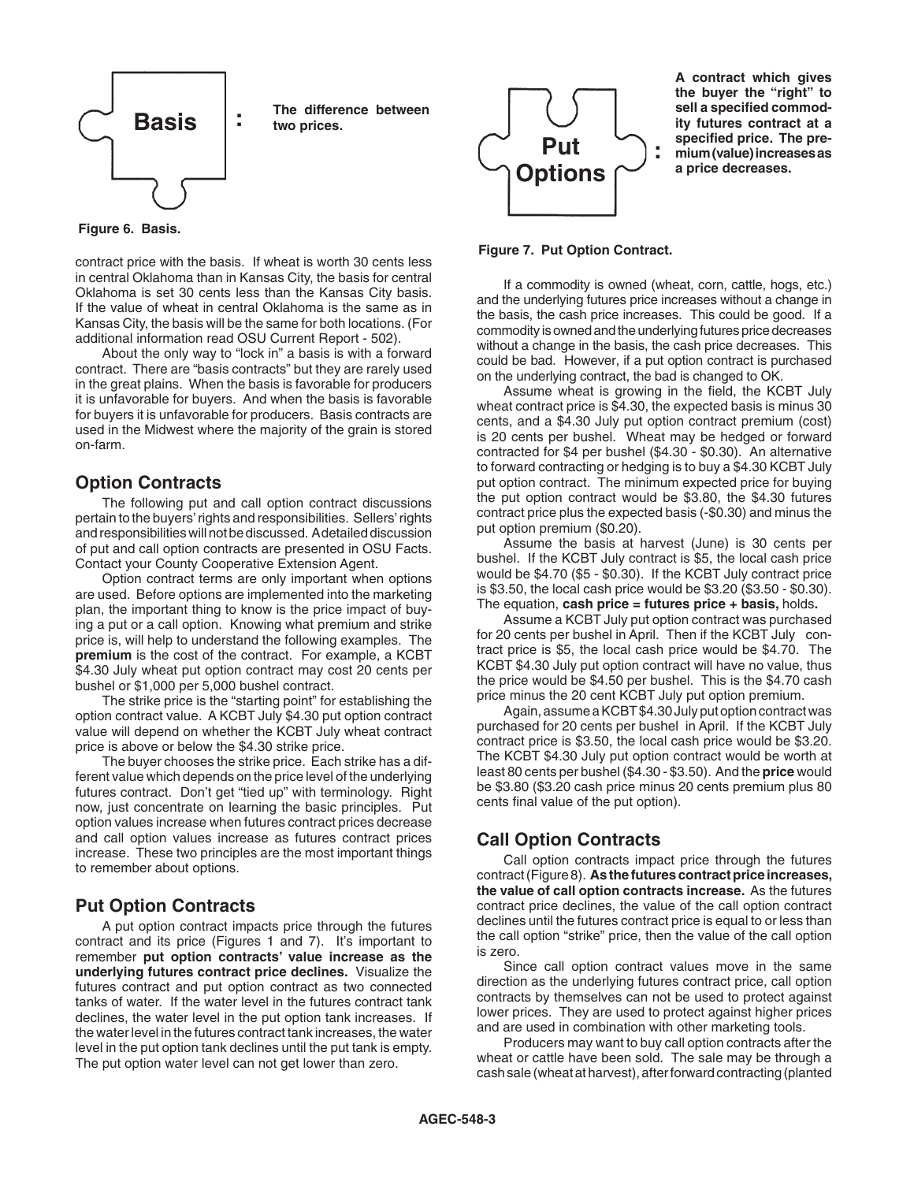

**Figure 6. Basis.**

contract price with the basis. If wheat is worth 30 cents less in central Oklahoma than in Kansas City, the basis for central Oklahoma is set 30 cents less than the Kansas City basis. If the value of wheat in central Oklahoma is the same as in Kansas City, the basis will be the same for both locations. (For additional information read OSU Current Report - 502).

 About the only way to "lock in" a basis is with a forward contract. There are "basis contracts" but they are rarely used in the great plains. When the basis is favorable for producers it is unfavorable for buyers. And when the basis is favorable for buyers it is unfavorable for producers. Basis contracts are used in the Midwest where the majority of the grain is stored on-farm.

# **Option Contracts**

 The following put and call option contract discussions pertain to the buyers' rights and responsibilities. Sellers' rights and responsibilities will not be discussed. Adetailed discussion of put and call option contracts are presented in OSU Facts. Contact your County Cooperative Extension Agent.

 Option contract terms are only important when options are used. Before options are implemented into the marketing plan, the important thing to know is the price impact of buying a put or a call option. Knowing what premium and strike price is, will help to understand the following examples. The **premium** is the cost of the contract. For example, a KCBT \$4.30 July wheat put option contract may cost 20 cents per bushel or \$1,000 per 5,000 bushel contract.

 The strike price is the "starting point" for establishing the option contract value. A KCBT July \$4.30 put option contract value will depend on whether the KCBT July wheat contract price is above or below the \$4.30 strike price.

 The buyer chooses the strike price. Each strike has a different value which depends on the price level of the underlying futures contract. Don't get "tied up" with terminology. Right now, just concentrate on learning the basic principles. Put option values increase when futures contract prices decrease and call option values increase as futures contract prices increase. These two principles are the most important things to remember about options.

## **Put Option Contracts**

 A put option contract impacts price through the futures contract and its price (Figures 1 and 7). It's important to remember **put option contracts' value increase as the underlying futures contract price declines.** Visualize the futures contract and put option contract as two connected tanks of water. If the water level in the futures contract tank declines, the water level in the put option tank increases. If the water level in the futures contract tank increases, the water level in the put option tank declines until the put tank is empty. The put option water level can not get lower than zero.



**A contract which gives the buyer the "right" to sell a specified commodity futures contract at a specified price. The premium (value) increases as a price decreases.**

#### **Figure 7. Put Option Contract.**

 If a commodity is owned (wheat, corn, cattle, hogs, etc.) and the underlying futures price increases without a change in the basis, the cash price increases. This could be good. If a commodity is owned and the underlying futures price decreases without a change in the basis, the cash price decreases. This could be bad. However, if a put option contract is purchased on the underlying contract, the bad is changed to OK.

 Assume wheat is growing in the field, the KCBT July wheat contract price is \$4.30, the expected basis is minus 30 cents, and a \$4.30 July put option contract premium (cost) is 20 cents per bushel. Wheat may be hedged or forward contracted for \$4 per bushel (\$4.30 - \$0.30). An alternative to forward contracting or hedging is to buy a \$4.30 KCBT July put option contract. The minimum expected price for buying the put option contract would be \$3.80, the \$4.30 futures contract price plus the expected basis (-\$0.30) and minus the put option premium (\$0.20).

 Assume the basis at harvest (June) is 30 cents per bushel. If the KCBT July contract is \$5, the local cash price would be \$4.70 (\$5 - \$0.30). If the KCBT July contract price is \$3.50, the local cash price would be \$3.20 (\$3.50 - \$0.30). The equation, **cash price = futures price + basis,** holds**.**

 Assume a KCBT July put option contract was purchased for 20 cents per bushel in April. Then if the KCBT July contract price is \$5, the local cash price would be \$4.70. The KCBT \$4.30 July put option contract will have no value, thus the price would be \$4.50 per bushel. This is the \$4.70 cash price minus the 20 cent KCBT July put option premium.

Again, assume a KCBT\$4.30 July put option contract was purchased for 20 cents per bushel in April. If the KCBT July contract price is \$3.50, the local cash price would be \$3.20. The KCBT \$4.30 July put option contract would be worth at least 80 cents per bushel (\$4.30 - \$3.50). And the **price** would be \$3.80 (\$3.20 cash price minus 20 cents premium plus 80 cents final value of the put option).

## **Call Option Contracts**

 Call option contracts impact price through the futures contract(Figure8). **As the futures contract price increases, the value of call option contracts increase.** As the futures contract price declines, the value of the call option contract declines until the futures contract price is equal to or less than the call option "strike" price, then the value of the call option is zero.

 Since call option contract values move in the same direction as the underlying futures contract price, call option contracts by themselves can not be used to protect against lower prices. They are used to protect against higher prices and are used in combination with other marketing tools.

 Producers may want to buy call option contracts after the wheat or cattle have been sold. The sale may be through a cash sale (wheat at harvest), after forward contracting (planted